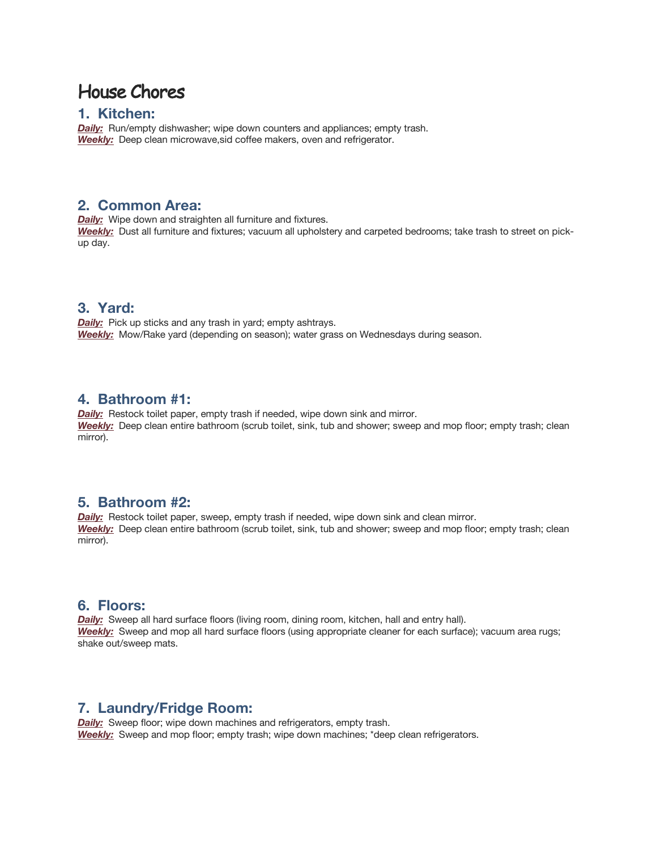# House Chores

#### **1. Kitchen:**

*Daily:* Run/empty dishwasher; wipe down counters and appliances; empty trash. *Weekly:* Deep clean microwave,sid coffee makers, oven and refrigerator.

### **2. Common Area:**

*Daily:* Wipe down and straighten all furniture and fixtures. *Weekly:* Dust all furniture and fixtures; vacuum all upholstery and carpeted bedrooms; take trash to street on pickup day.

## **3. Yard:**

*Daily:* Pick up sticks and any trash in yard; empty ashtrays. *Weekly:* Mow/Rake yard (depending on season); water grass on Wednesdays during season.

#### **4. Bathroom #1:**

**Daily:** Restock toilet paper, empty trash if needed, wipe down sink and mirror. *Weekly:* Deep clean entire bathroom (scrub toilet, sink, tub and shower; sweep and mop floor; empty trash; clean mirror).

#### **5. Bathroom #2:**

**Daily:** Restock toilet paper, sweep, empty trash if needed, wipe down sink and clean mirror. *Weekly:* Deep clean entire bathroom (scrub toilet, sink, tub and shower; sweep and mop floor; empty trash; clean mirror).

#### **6. Floors:**

**Daily:** Sweep all hard surface floors (living room, dining room, kitchen, hall and entry hall). *Weekly:* Sweep and mop all hard surface floors (using appropriate cleaner for each surface); vacuum area rugs; shake out/sweep mats.

#### **7. Laundry/Fridge Room:**

*Daily:* Sweep floor; wipe down machines and refrigerators, empty trash. *Weekly:* Sweep and mop floor; empty trash; wipe down machines; \*deep clean refrigerators.